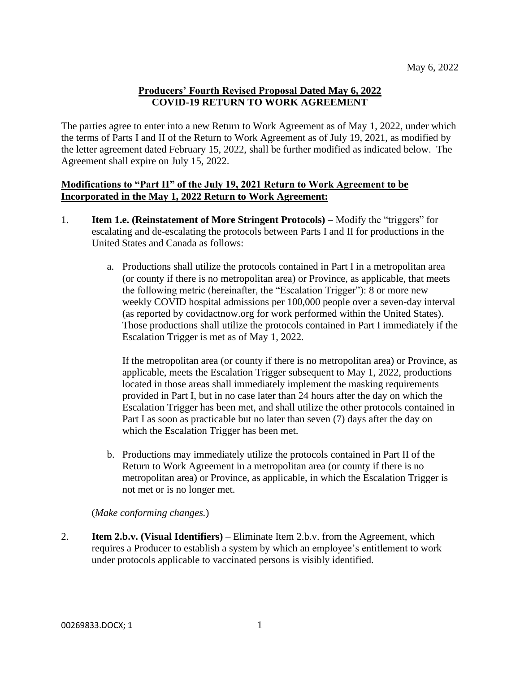### **Producers' Fourth Revised Proposal Dated May 6, 2022 COVID-19 RETURN TO WORK AGREEMENT**

The parties agree to enter into a new Return to Work Agreement as of May 1, 2022, under which the terms of Parts I and II of the Return to Work Agreement as of July 19, 2021, as modified by the letter agreement dated February 15, 2022, shall be further modified as indicated below. The Agreement shall expire on July 15, 2022.

### **Modifications to "Part II" of the July 19, 2021 Return to Work Agreement to be Incorporated in the May 1, 2022 Return to Work Agreement:**

- 1. **Item 1.e. (Reinstatement of More Stringent Protocols)** Modify the "triggers" for escalating and de-escalating the protocols between Parts I and II for productions in the United States and Canada as follows:
	- a. Productions shall utilize the protocols contained in Part I in a metropolitan area (or county if there is no metropolitan area) or Province, as applicable, that meets the following metric (hereinafter, the "Escalation Trigger"): 8 or more new weekly COVID hospital admissions per 100,000 people over a seven-day interval (as reported by covidactnow.org for work performed within the United States). Those productions shall utilize the protocols contained in Part I immediately if the Escalation Trigger is met as of May 1, 2022.

If the metropolitan area (or county if there is no metropolitan area) or Province, as applicable, meets the Escalation Trigger subsequent to May 1, 2022, productions located in those areas shall immediately implement the masking requirements provided in Part I, but in no case later than 24 hours after the day on which the Escalation Trigger has been met, and shall utilize the other protocols contained in Part I as soon as practicable but no later than seven (7) days after the day on which the Escalation Trigger has been met.

b. Productions may immediately utilize the protocols contained in Part II of the Return to Work Agreement in a metropolitan area (or county if there is no metropolitan area) or Province, as applicable, in which the Escalation Trigger is not met or is no longer met.

(*Make conforming changes.*)

2. **Item 2.b.v. (Visual Identifiers)** – Eliminate Item 2.b.v. from the Agreement, which requires a Producer to establish a system by which an employee's entitlement to work under protocols applicable to vaccinated persons is visibly identified.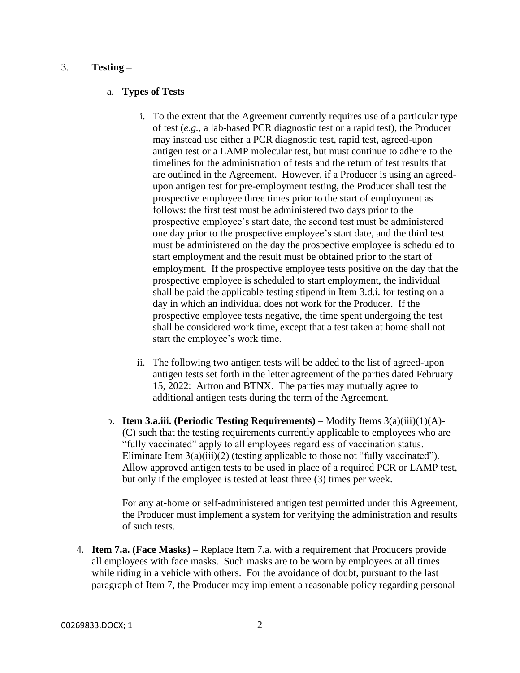#### 3. **Testing –**

#### a. **Types of Tests** –

- i. To the extent that the Agreement currently requires use of a particular type of test (*e.g.*, a lab-based PCR diagnostic test or a rapid test), the Producer may instead use either a PCR diagnostic test, rapid test, agreed-upon antigen test or a LAMP molecular test, but must continue to adhere to the timelines for the administration of tests and the return of test results that are outlined in the Agreement. However, if a Producer is using an agreedupon antigen test for pre-employment testing, the Producer shall test the prospective employee three times prior to the start of employment as follows: the first test must be administered two days prior to the prospective employee's start date, the second test must be administered one day prior to the prospective employee's start date, and the third test must be administered on the day the prospective employee is scheduled to start employment and the result must be obtained prior to the start of employment. If the prospective employee tests positive on the day that the prospective employee is scheduled to start employment, the individual shall be paid the applicable testing stipend in Item 3.d.i. for testing on a day in which an individual does not work for the Producer. If the prospective employee tests negative, the time spent undergoing the test shall be considered work time, except that a test taken at home shall not start the employee's work time.
- ii. The following two antigen tests will be added to the list of agreed-upon antigen tests set forth in the letter agreement of the parties dated February 15, 2022: Artron and BTNX. The parties may mutually agree to additional antigen tests during the term of the Agreement.
- b. **Item 3.a.iii. (Periodic Testing Requirements)** Modify Items 3(a)(iii)(1)(A)- (C) such that the testing requirements currently applicable to employees who are "fully vaccinated" apply to all employees regardless of vaccination status. Eliminate Item  $3(a)(iii)(2)$  (testing applicable to those not "fully vaccinated"). Allow approved antigen tests to be used in place of a required PCR or LAMP test, but only if the employee is tested at least three (3) times per week.

For any at-home or self-administered antigen test permitted under this Agreement, the Producer must implement a system for verifying the administration and results of such tests.

4. **Item 7.a. (Face Masks)** – Replace Item 7.a. with a requirement that Producers provide all employees with face masks. Such masks are to be worn by employees at all times while riding in a vehicle with others. For the avoidance of doubt, pursuant to the last paragraph of Item 7, the Producer may implement a reasonable policy regarding personal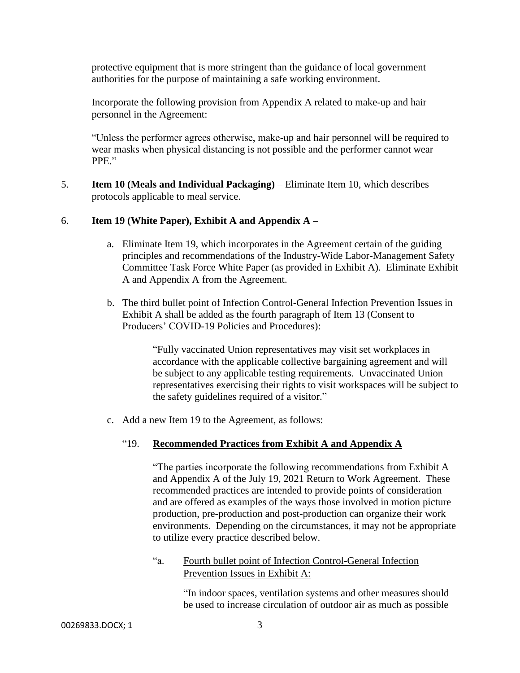protective equipment that is more stringent than the guidance of local government authorities for the purpose of maintaining a safe working environment.

Incorporate the following provision from Appendix A related to make-up and hair personnel in the Agreement:

"Unless the performer agrees otherwise, make-up and hair personnel will be required to wear masks when physical distancing is not possible and the performer cannot wear PPE."

5. **Item 10 (Meals and Individual Packaging)** – Eliminate Item 10, which describes protocols applicable to meal service.

# 6. **Item 19 (White Paper), Exhibit A and Appendix A –**

- a. Eliminate Item 19, which incorporates in the Agreement certain of the guiding principles and recommendations of the Industry-Wide Labor-Management Safety Committee Task Force White Paper (as provided in Exhibit A). Eliminate Exhibit A and Appendix A from the Agreement.
- b. The third bullet point of Infection Control-General Infection Prevention Issues in Exhibit A shall be added as the fourth paragraph of Item 13 (Consent to Producers' COVID-19 Policies and Procedures):

"Fully vaccinated Union representatives may visit set workplaces in accordance with the applicable collective bargaining agreement and will be subject to any applicable testing requirements. Unvaccinated Union representatives exercising their rights to visit workspaces will be subject to the safety guidelines required of a visitor."

c. Add a new Item 19 to the Agreement, as follows:

# "19. **Recommended Practices from Exhibit A and Appendix A**

"The parties incorporate the following recommendations from Exhibit A and Appendix A of the July 19, 2021 Return to Work Agreement. These recommended practices are intended to provide points of consideration and are offered as examples of the ways those involved in motion picture production, pre-production and post-production can organize their work environments. Depending on the circumstances, it may not be appropriate to utilize every practice described below.

"a. Fourth bullet point of Infection Control-General Infection Prevention Issues in Exhibit A:

> "In indoor spaces, ventilation systems and other measures should be used to increase circulation of outdoor air as much as possible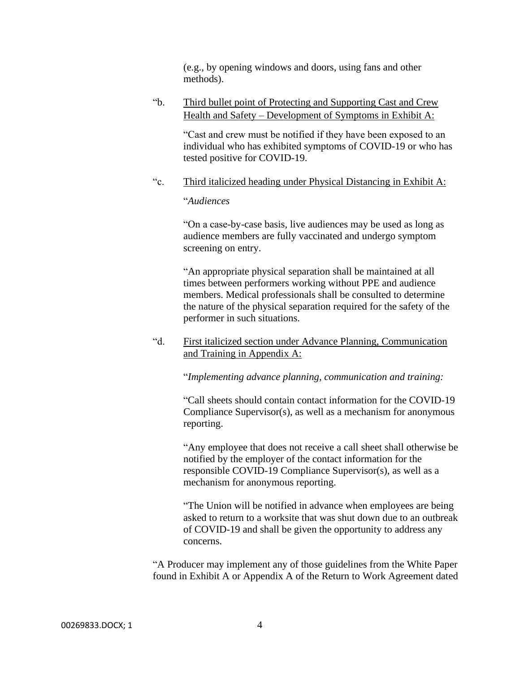(e.g., by opening windows and doors, using fans and other methods).

"b. Third bullet point of Protecting and Supporting Cast and Crew Health and Safety – Development of Symptoms in Exhibit A:

> "Cast and crew must be notified if they have been exposed to an individual who has exhibited symptoms of COVID-19 or who has tested positive for COVID-19.

"c. Third italicized heading under Physical Distancing in Exhibit A:

#### "*Audiences*

"On a case-by-case basis, live audiences may be used as long as audience members are fully vaccinated and undergo symptom screening on entry.

"An appropriate physical separation shall be maintained at all times between performers working without PPE and audience members. Medical professionals shall be consulted to determine the nature of the physical separation required for the safety of the performer in such situations.

"d. First italicized section under Advance Planning, Communication and Training in Appendix A:

"*Implementing advance planning, communication and training:*

"Call sheets should contain contact information for the COVID-19 Compliance Supervisor(s), as well as a mechanism for anonymous reporting.

"Any employee that does not receive a call sheet shall otherwise be notified by the employer of the contact information for the responsible COVID-19 Compliance Supervisor(s), as well as a mechanism for anonymous reporting.

"The Union will be notified in advance when employees are being asked to return to a worksite that was shut down due to an outbreak of COVID-19 and shall be given the opportunity to address any concerns.

"A Producer may implement any of those guidelines from the White Paper found in Exhibit A or Appendix A of the Return to Work Agreement dated